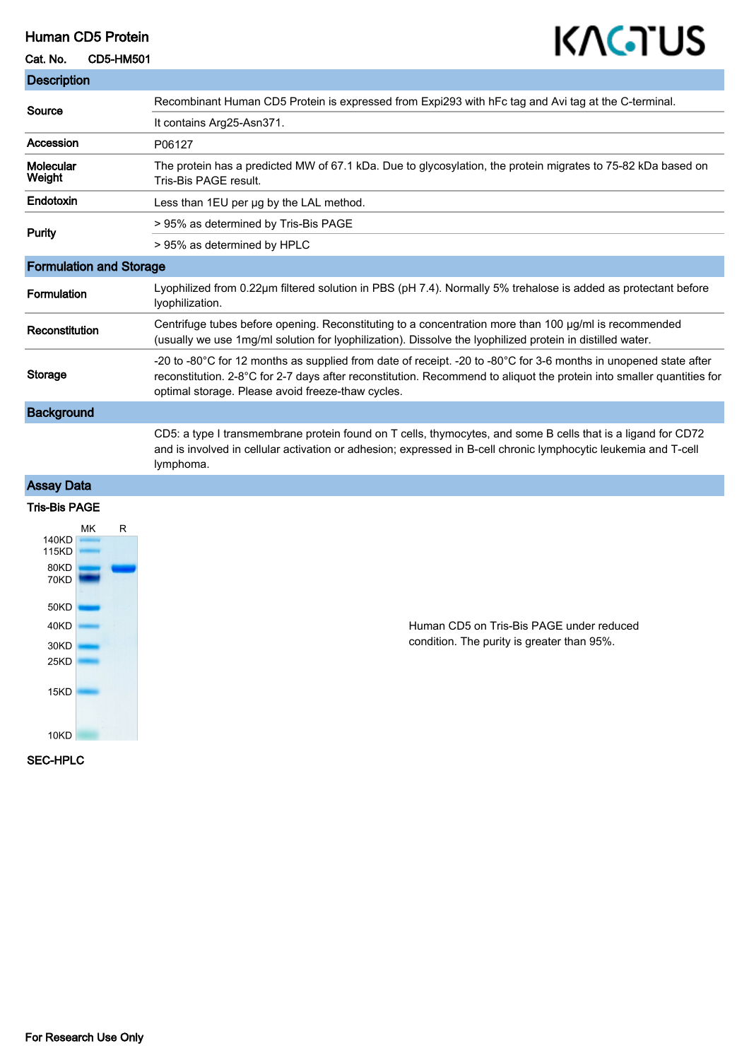# Human CD5 Protein

#### Cat. No. CD5-HM501

# KAGTUS

| <b>Description</b>             |                                                                                                                                                                                                                                                                                                |
|--------------------------------|------------------------------------------------------------------------------------------------------------------------------------------------------------------------------------------------------------------------------------------------------------------------------------------------|
| Source                         | Recombinant Human CD5 Protein is expressed from Expi293 with hFc tag and Avi tag at the C-terminal.                                                                                                                                                                                            |
|                                | It contains Arg25-Asn371.                                                                                                                                                                                                                                                                      |
| Accession                      | P06127                                                                                                                                                                                                                                                                                         |
| Molecular<br>Weight            | The protein has a predicted MW of 67.1 kDa. Due to glycosylation, the protein migrates to 75-82 kDa based on<br>Tris-Bis PAGE result.                                                                                                                                                          |
| Endotoxin                      | Less than 1EU per ug by the LAL method.                                                                                                                                                                                                                                                        |
| <b>Purity</b>                  | > 95% as determined by Tris-Bis PAGE                                                                                                                                                                                                                                                           |
|                                | > 95% as determined by HPLC                                                                                                                                                                                                                                                                    |
| <b>Formulation and Storage</b> |                                                                                                                                                                                                                                                                                                |
| Formulation                    | Lyophilized from 0.22µm filtered solution in PBS (pH 7.4). Normally 5% trehalose is added as protectant before<br>lyophilization.                                                                                                                                                              |
| Reconstitution                 | Centrifuge tubes before opening. Reconstituting to a concentration more than 100 µg/ml is recommended<br>(usually we use 1mg/ml solution for lyophilization). Dissolve the lyophilized protein in distilled water.                                                                             |
| Storage                        | -20 to -80°C for 12 months as supplied from date of receipt. -20 to -80°C for 3-6 months in unopened state after<br>reconstitution. 2-8°C for 2-7 days after reconstitution. Recommend to aliquot the protein into smaller quantities for<br>optimal storage. Please avoid freeze-thaw cycles. |
| <b>Background</b>              |                                                                                                                                                                                                                                                                                                |
|                                | CD5: a type I transmembrane protein found on T cells, thymocytes, and some B cells that is a ligand for CD72<br>and is involved in cellular activation or adhesion; expressed in B-cell chronic lymphocytic leukemia and T-cell<br>lymphoma.                                                   |
| <b>Assay Data</b>              |                                                                                                                                                                                                                                                                                                |
| <b>Tris-Bis PAGE</b>           |                                                                                                                                                                                                                                                                                                |
| R<br>МK                        |                                                                                                                                                                                                                                                                                                |
| 140KD<br>115KD                 |                                                                                                                                                                                                                                                                                                |
| 80KD<br><b>70KD</b>            |                                                                                                                                                                                                                                                                                                |
|                                |                                                                                                                                                                                                                                                                                                |
| 50KD<br>40KD                   | Human CD5 on Tris-Bis PAGE under reduced                                                                                                                                                                                                                                                       |
| 30KD                           | condition. The purity is greater than 95%.                                                                                                                                                                                                                                                     |

SEC-HPLC

25KD

 $15KD$ 

 $10KD$